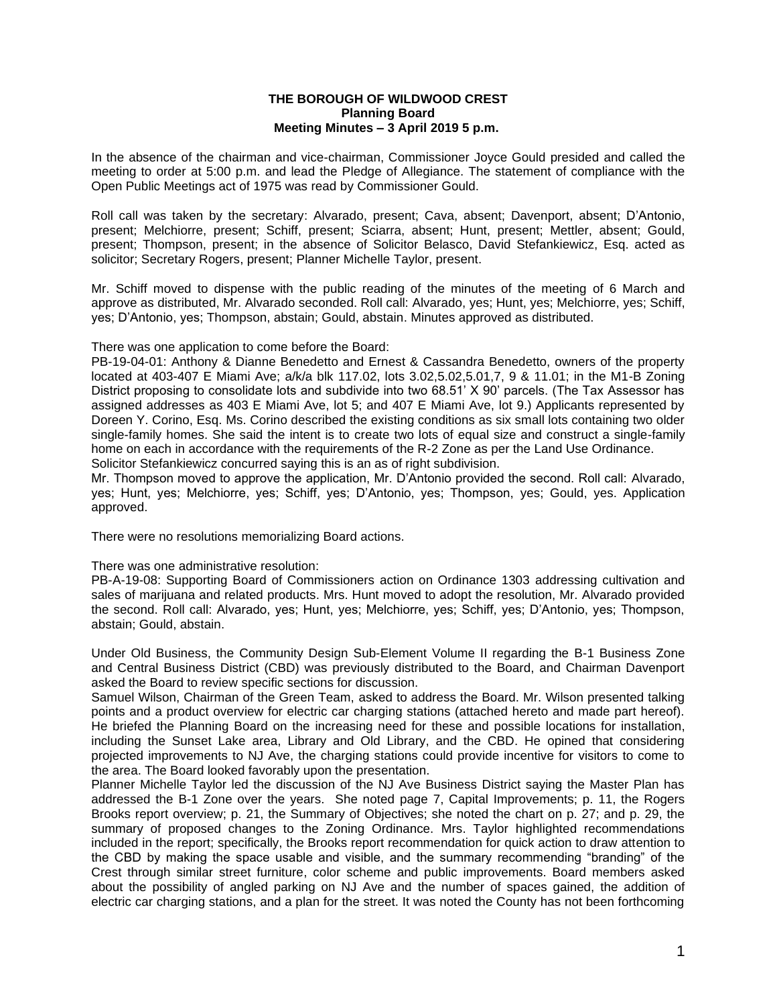## **THE BOROUGH OF WILDWOOD CREST Planning Board Meeting Minutes – 3 April 2019 5 p.m.**

In the absence of the chairman and vice-chairman, Commissioner Joyce Gould presided and called the meeting to order at 5:00 p.m. and lead the Pledge of Allegiance. The statement of compliance with the Open Public Meetings act of 1975 was read by Commissioner Gould.

Roll call was taken by the secretary: Alvarado, present; Cava, absent; Davenport, absent; D'Antonio, present; Melchiorre, present; Schiff, present; Sciarra, absent; Hunt, present; Mettler, absent; Gould, present; Thompson, present; in the absence of Solicitor Belasco, David Stefankiewicz, Esq. acted as solicitor; Secretary Rogers, present; Planner Michelle Taylor, present.

Mr. Schiff moved to dispense with the public reading of the minutes of the meeting of 6 March and approve as distributed, Mr. Alvarado seconded. Roll call: Alvarado, yes; Hunt, yes; Melchiorre, yes; Schiff, yes; D'Antonio, yes; Thompson, abstain; Gould, abstain. Minutes approved as distributed.

There was one application to come before the Board:

PB-19-04-01: Anthony & Dianne Benedetto and Ernest & Cassandra Benedetto, owners of the property located at 403-407 E Miami Ave; a/k/a blk 117.02, lots 3.02,5.02,5.01,7, 9 & 11.01; in the M1-B Zoning District proposing to consolidate lots and subdivide into two 68.51' X 90' parcels. (The Tax Assessor has assigned addresses as 403 E Miami Ave, lot 5; and 407 E Miami Ave, lot 9.) Applicants represented by Doreen Y. Corino, Esq. Ms. Corino described the existing conditions as six small lots containing two older single-family homes. She said the intent is to create two lots of equal size and construct a single-family home on each in accordance with the requirements of the R-2 Zone as per the Land Use Ordinance.

Solicitor Stefankiewicz concurred saying this is an as of right subdivision.

Mr. Thompson moved to approve the application, Mr. D'Antonio provided the second. Roll call: Alvarado, yes; Hunt, yes; Melchiorre, yes; Schiff, yes; D'Antonio, yes; Thompson, yes; Gould, yes. Application approved.

There were no resolutions memorializing Board actions.

There was one administrative resolution:

PB-A-19-08: Supporting Board of Commissioners action on Ordinance 1303 addressing cultivation and sales of marijuana and related products. Mrs. Hunt moved to adopt the resolution, Mr. Alvarado provided the second. Roll call: Alvarado, yes; Hunt, yes; Melchiorre, yes; Schiff, yes; D'Antonio, yes; Thompson, abstain; Gould, abstain.

Under Old Business, the Community Design Sub-Element Volume II regarding the B-1 Business Zone and Central Business District (CBD) was previously distributed to the Board, and Chairman Davenport asked the Board to review specific sections for discussion.

Samuel Wilson, Chairman of the Green Team, asked to address the Board. Mr. Wilson presented talking points and a product overview for electric car charging stations (attached hereto and made part hereof). He briefed the Planning Board on the increasing need for these and possible locations for installation, including the Sunset Lake area, Library and Old Library, and the CBD. He opined that considering projected improvements to NJ Ave, the charging stations could provide incentive for visitors to come to the area. The Board looked favorably upon the presentation.

Planner Michelle Taylor led the discussion of the NJ Ave Business District saying the Master Plan has addressed the B-1 Zone over the years. She noted page 7, Capital Improvements; p. 11, the Rogers Brooks report overview; p. 21, the Summary of Objectives; she noted the chart on p. 27; and p. 29, the summary of proposed changes to the Zoning Ordinance. Mrs. Taylor highlighted recommendations included in the report; specifically, the Brooks report recommendation for quick action to draw attention to the CBD by making the space usable and visible, and the summary recommending "branding" of the Crest through similar street furniture, color scheme and public improvements. Board members asked about the possibility of angled parking on NJ Ave and the number of spaces gained, the addition of electric car charging stations, and a plan for the street. It was noted the County has not been forthcoming